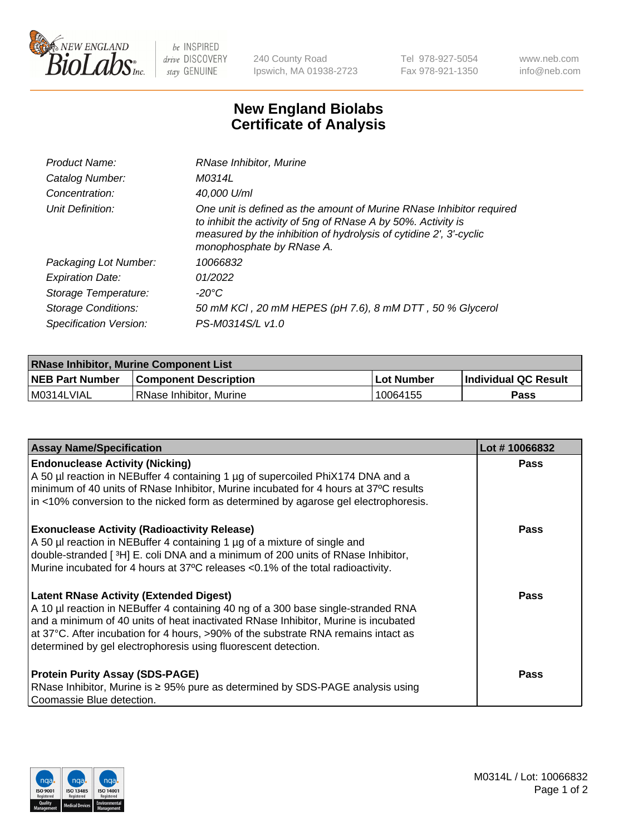

 $be$  INSPIRED drive DISCOVERY stay GENUINE

240 County Road Ipswich, MA 01938-2723 Tel 978-927-5054 Fax 978-921-1350 www.neb.com info@neb.com

## **New England Biolabs Certificate of Analysis**

| Product Name:              | RNase Inhibitor, Murine                                                                                                                                                                                                                  |
|----------------------------|------------------------------------------------------------------------------------------------------------------------------------------------------------------------------------------------------------------------------------------|
| Catalog Number:            | M0314L                                                                                                                                                                                                                                   |
| Concentration:             | 40,000 U/ml                                                                                                                                                                                                                              |
| Unit Definition:           | One unit is defined as the amount of Murine RNase Inhibitor required<br>to inhibit the activity of 5ng of RNase A by 50%. Activity is<br>measured by the inhibition of hydrolysis of cytidine 2', 3'-cyclic<br>monophosphate by RNase A. |
| Packaging Lot Number:      | 10066832                                                                                                                                                                                                                                 |
| <b>Expiration Date:</b>    | 01/2022                                                                                                                                                                                                                                  |
| Storage Temperature:       | $-20^{\circ}$ C                                                                                                                                                                                                                          |
| <b>Storage Conditions:</b> | 50 mM KCI, 20 mM HEPES (pH 7.6), 8 mM DTT, 50 % Glycerol                                                                                                                                                                                 |
| Specification Version:     | PS-M0314S/L v1.0                                                                                                                                                                                                                         |

| <b>RNase Inhibitor, Murine Component List</b> |                              |             |                             |  |  |
|-----------------------------------------------|------------------------------|-------------|-----------------------------|--|--|
| <b>NEB Part Number</b>                        | <b>Component Description</b> | ⊥Lot Number | <b>Individual QC Result</b> |  |  |
| M0314LVIAL                                    | l RNase Inhibitor. Murine    | 10064155    | Pass                        |  |  |

| <b>Assay Name/Specification</b>                                                                                                                                                                                                                                                                                                                                                   | Lot #10066832 |
|-----------------------------------------------------------------------------------------------------------------------------------------------------------------------------------------------------------------------------------------------------------------------------------------------------------------------------------------------------------------------------------|---------------|
| <b>Endonuclease Activity (Nicking)</b><br>A 50 µl reaction in NEBuffer 4 containing 1 µg of supercoiled PhiX174 DNA and a<br>minimum of 40 units of RNase Inhibitor, Murine incubated for 4 hours at 37°C results<br>in <10% conversion to the nicked form as determined by agarose gel electrophoresis.                                                                          | Pass          |
| <b>Exonuclease Activity (Radioactivity Release)</b><br>A 50 µl reaction in NEBuffer 4 containing 1 µg of a mixture of single and<br>double-stranded [3H] E. coli DNA and a minimum of 200 units of RNase Inhibitor,<br>Murine incubated for 4 hours at 37°C releases <0.1% of the total radioactivity.                                                                            | <b>Pass</b>   |
| <b>Latent RNase Activity (Extended Digest)</b><br>A 10 µl reaction in NEBuffer 4 containing 40 ng of a 300 base single-stranded RNA<br>and a minimum of 40 units of heat inactivated RNase Inhibitor, Murine is incubated<br>at 37°C. After incubation for 4 hours, >90% of the substrate RNA remains intact as<br>determined by gel electrophoresis using fluorescent detection. | <b>Pass</b>   |
| <b>Protein Purity Assay (SDS-PAGE)</b><br>RNase Inhibitor, Murine is ≥ 95% pure as determined by SDS-PAGE analysis using<br>Coomassie Blue detection.                                                                                                                                                                                                                             | <b>Pass</b>   |